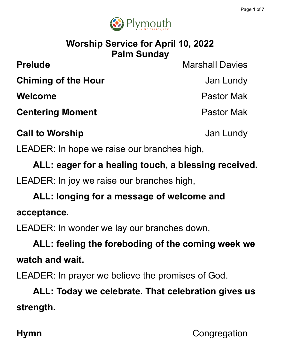

### **Worship Service for April 10, 2022 Palm Sunday**

**Prelude** Marshall Davies

**Chiming of the Hour** Jan Lundy

**Welcome** Pastor Mak

**Centering Moment Centering Moment** 

**Call to Worship Call to Worship Jan Lundy** 

LEADER: In hope we raise our branches high,

**ALL: eager for a healing touch, a blessing received.**

LEADER: In joy we raise our branches high,

**ALL: longing for a message of welcome and acceptance.**

LEADER: In wonder we lay our branches down,

**ALL: feeling the foreboding of the coming week we watch and wait.**

LEADER: In prayer we believe the promises of God.

**ALL: Today we celebrate. That celebration gives us strength.**

**Hymn** Congregation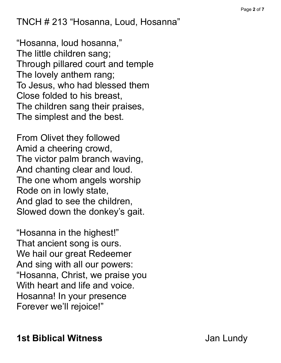TNCH # 213 "Hosanna, Loud, Hosanna"

"Hosanna, loud hosanna, " The little children sang; Through pillared court and temple The lovely anthem rang; To Jesus, who had blessed them Close folded to his breast, The children sang their praises, The simplest and the best.

From Olivet they followed Amid a cheering crowd, The victor palm branch waving, And chanting clear and loud. The one whom angels worship Rode on in lowly state, And glad to see the children, Slowed down the donkey's gait.

"Hosanna in the highest!" That ancient song is ours. We hail our great Redeemer And sing with all our powers: "Hosanna, Christ, we praise you With heart and life and voice. Hosanna! In your presence Forever we'll rejoice!"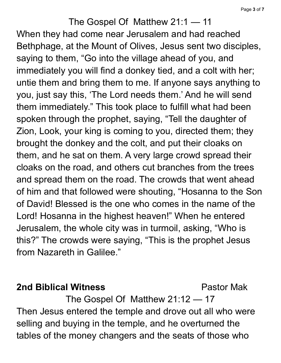The Gospel Of Matthew 21:1 — 11 When they had come near Jerusalem and had reached Bethphage, at the Mount of Olives, Jesus sent two disciples, saying to them, "Go into the village ahead of you, and immediately you will find a donkey tied, and a colt with her; untie them and bring them to me. If anyone says anything to you, just say this, 'The Lord needs them.' And he will send them immediately." This took place to fulfill what had been spoken through the prophet, saying, "Tell the daughter of Zion, Look, your king is coming to you, directed them; they brought the donkey and the colt, and put their cloaks on them, and he sat on them. A very large crowd spread their cloaks on the road, and others cut branches from the trees and spread them on the road. The crowds that went ahead of him and that followed were shouting, "Hosanna to the Son of David! Blessed is the one who comes in the name of the Lord! Hosanna in the highest heaven!" When he entered Jerusalem, the whole city was in turmoil, asking, "Who is this?" The crowds were saying, "This is the prophet Jesus from Nazareth in Galilee."

#### **2nd Biblical Witness** Pastor Mak

The Gospel Of Matthew 21:12 — 17 Then Jesus entered the temple and drove out all who were selling and buying in the temple, and he overturned the tables of the money changers and the seats of those who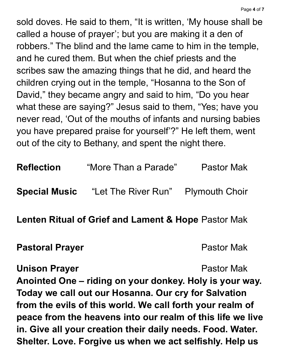sold doves. He said to them, "It is written, 'My house shall be called a house of prayer'; but you are making it a den of robbers." The blind and the lame came to him in the temple, and he cured them. But when the chief priests and the scribes saw the amazing things that he did, and heard the children crying out in the temple, "Hosanna to the Son of David, " they became angry and said to him, "Do you hear what these are saying?" Jesus said to them, "Yes; have you never read, 'Out of the mouths of infants and nursing babies you have prepared praise for yourself'?" He left them, went out of the city to Bethany, and spent the night there.

| <b>Reflection</b>    | "More Than a Parade"               | <b>Pastor Mak</b> |
|----------------------|------------------------------------|-------------------|
| <b>Special Music</b> | "Let The River Run" Plymouth Choir |                   |

**Lenten Ritual of Grief and Lament & Hope** Pastor Mak

#### **Pastoral Prayer Pastor Mak**

**Unison Prayer Pastor Mak Anointed One – riding on your donkey. Holy is your way. Today we call out our Hosanna. Our cry for Salvation from the evils of this world. We call forth your realm of peace from the heavens into our realm of this life we live in. Give all your creation their daily needs. Food. Water. Shelter. Love. Forgive us when we act selfishly. Help us**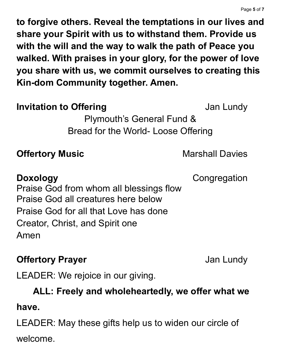**to forgive others. Reveal the temptations in our lives and share your Spirit with us to withstand them. Provide us with the will and the way to walk the path of Peace you walked. With praises in your glory, for the power of love you share with us, we commit ourselves to creating this Kin-dom Community together. Amen.**

#### **Invitation to Offering Community Community Community** Jan Lundy

Plymouth's General Fund & Bread for the World- Loose Offering

#### **Offertory Music Marshall Davies**

**Doxology** Congregation Praise God from whom all blessings flow Praise God all creatures here below Praise God for all that Love has done Creator, Christ, and Spirit one Amen

### **Offertory Prayer Contract Contract Contract Contract Contract Contract Contract Contract Contract Contract Contract Contract Contract Contract Contract Contract Contract Contract Contract Contract Contract Contract Cont**

LEADER: We rejoice in our giving.

#### **ALL: Freely and wholeheartedly, we offer what we**

#### **have.**

LEADER: May these gifts help us to widen our circle of welcome.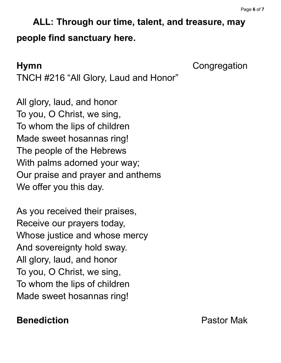## **ALL: Through our time, talent, and treasure, may people find sanctuary here.**

**Hymn** Congregation

TNCH #216 "All Glory, Laud and Honor"

All glory, laud, and honor To you, O Christ, we sing, To whom the lips of children Made sweet hosannas ring! The people of the Hebrews With palms adorned your way; Our praise and prayer and anthems We offer you this day.

As you received their praises, Receive our prayers today, Whose justice and whose mercy And sovereignty hold sway. All glory, laud, and honor To you, O Christ, we sing, To whom the lips of children Made sweet hosannas ring!

### **Benediction** Pastor Mak